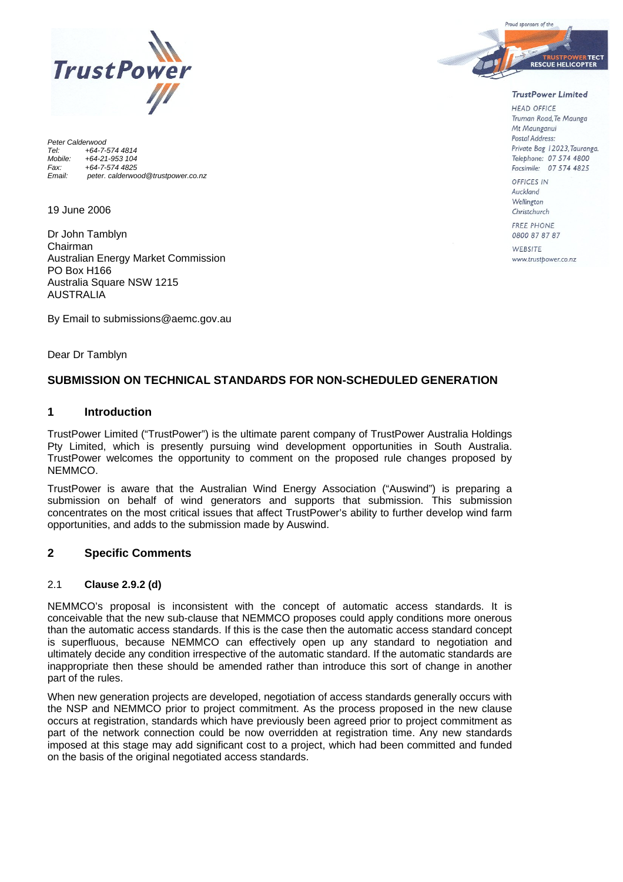

*Peter Calderwood Tel: +64-7-574 4814 Mobile: +64-21-953 104 Fax: +64-7-574 4825 Email: peter. calderwood@trustpower.co.nz* 

19 June 2006

Dr John Tamblyn Chairman Australian Energy Market Commission PO Box H166 Australia Square NSW 1215 AUSTRALIA

By Email to submissions@aemc.gov.au

Dear Dr Tamblyn

# **SUBMISSION ON TECHNICAL STANDARDS FOR NON-SCHEDULED GENERATION**

## **1 Introduction**

TrustPower Limited ("TrustPower") is the ultimate parent company of TrustPower Australia Holdings Pty Limited, which is presently pursuing wind development opportunities in South Australia. TrustPower welcomes the opportunity to comment on the proposed rule changes proposed by NEMMCO.

TrustPower is aware that the Australian Wind Energy Association ("Auswind") is preparing a submission on behalf of wind generators and supports that submission. This submission concentrates on the most critical issues that affect TrustPower's ability to further develop wind farm opportunities, and adds to the submission made by Auswind.

# **2 Specific Comments**

## 2.1 **Clause 2.9.2 (d)**

NEMMCO's proposal is inconsistent with the concept of automatic access standards. It is conceivable that the new sub-clause that NEMMCO proposes could apply conditions more onerous than the automatic access standards. If this is the case then the automatic access standard concept is superfluous, because NEMMCO can effectively open up any standard to negotiation and ultimately decide any condition irrespective of the automatic standard. If the automatic standards are inappropriate then these should be amended rather than introduce this sort of change in another part of the rules.

When new generation projects are developed, negotiation of access standards generally occurs with the NSP and NEMMCO prior to project commitment. As the process proposed in the new clause occurs at registration, standards which have previously been agreed prior to project commitment as part of the network connection could be now overridden at registration time. Any new standards imposed at this stage may add significant cost to a project, which had been committed and funded on the basis of the original negotiated access standards.



#### **TrustPower Limited**

**HEAD OFFICE** Truman Road, Te Maunga Mt Maunganui Postal Address: Private Bag 12023. Tauranga. Telephone: 07 574 4800 Facsimile: 07 574 4825

OFFICES IN Auckland Wellington Christchurch FREE PHONE

0800 87 87 87

WERSITE www.trustpower.co.nz